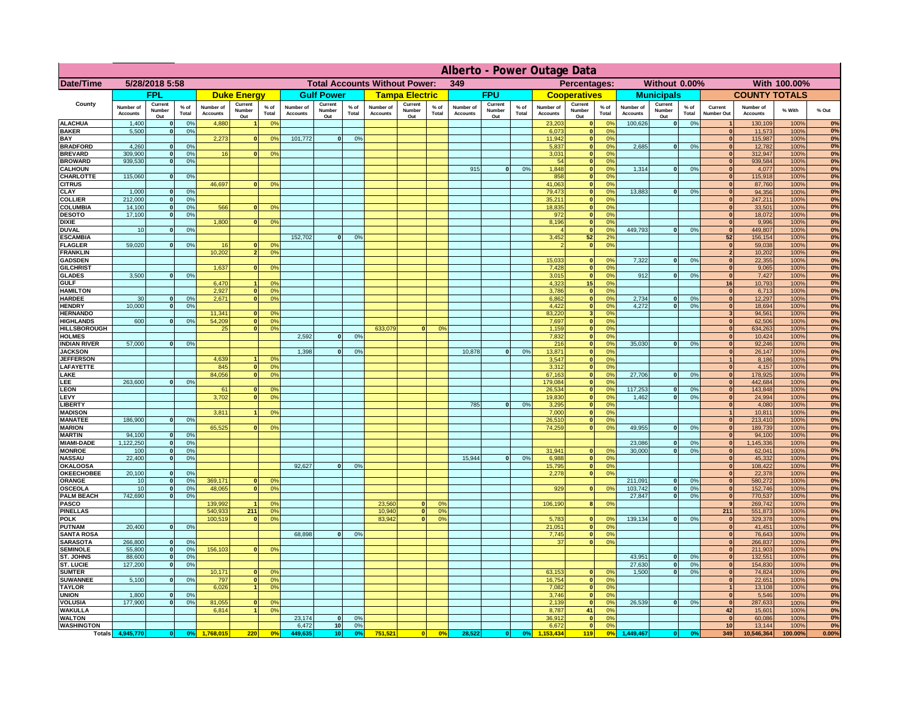|                                         | Alberto - Power Outage Data  |                              |                                  |                              |                                 |                                             |                              |                          |                      |                              |                               |                 |                              |                          |                |                              |                          |                                                              |                              |                          |                 |                                |                              |              |             |
|-----------------------------------------|------------------------------|------------------------------|----------------------------------|------------------------------|---------------------------------|---------------------------------------------|------------------------------|--------------------------|----------------------|------------------------------|-------------------------------|-----------------|------------------------------|--------------------------|----------------|------------------------------|--------------------------|--------------------------------------------------------------|------------------------------|--------------------------|-----------------|--------------------------------|------------------------------|--------------|-------------|
| Date/Time                               | 5/28/2018 5:58               |                              |                                  |                              |                                 | <b>Total Accounts Without Power:</b><br>349 |                              |                          |                      |                              | Percentages:<br>Without 0.00% |                 |                              |                          |                | With 100.00%                 |                          |                                                              |                              |                          |                 |                                |                              |              |             |
|                                         |                              | <b>FPL</b>                   |                                  |                              | <b>Duke Energy</b>              |                                             |                              | <b>Gulf Power</b>        |                      |                              | <b>Tampa Electric</b>         |                 |                              | <b>FPU</b>               |                |                              | <b>Cooperatives</b>      |                                                              |                              | <b>Municipals</b>        |                 |                                | <b>COUNTY TOTALS</b>         |              |             |
| County                                  | Number of<br><b>Accounts</b> | Current<br>Number<br>Out     | $%$ of<br>Total                  | Number of<br><b>Accounts</b> | Current<br><b>Number</b><br>Out | $%$ of<br>Total                             | Number of<br><b>Accounts</b> | Current<br>Number<br>Out | $%$ of<br>Total      | Number of<br><b>Accounts</b> | Current<br>Number<br>Out      | $%$ of<br>Total | Number of<br><b>Accounts</b> | Current<br>Number<br>Out | % of<br>Total  | Number of<br><b>Accounts</b> | Current<br>Number<br>Out | $%$ of<br><b>Total</b>                                       | Number of<br><b>Accounts</b> | Current<br>Number<br>Out | $%$ of<br>Total | Current<br>Number Out          | Number of<br><b>Accounts</b> | % With       | % Out       |
| <b>ALACHUA</b><br><b>BAKER</b>          | 1,400                        | $\mathbf{0}$<br>$\mathbf{0}$ | 0%<br>0%                         | 4,880                        |                                 | 0 <sup>9</sup>                              |                              |                          |                      |                              |                               |                 |                              |                          |                | 23,203                       |                          | $^{\circ}$<br>$\mathbf{0}$<br>0 <sup>9</sup><br>$\mathbf{0}$ | 100,626                      | 0                        | 0%              | $\mathbf{1}$<br>$\mathbf{0}$   | 130,109                      | 100%<br>100% | 0%<br>0%    |
| BAY                                     | 5,500                        |                              |                                  | 2,273                        | $\bf{0}$                        | 0%                                          | 101,772                      | 0                        | 0%                   |                              |                               |                 |                              |                          |                | 6,073<br>11,942              |                          | 0 <sup>9</sup><br> 0                                         |                              |                          |                 | $\mathbf{0}$                   | 11,573<br>115,987            | 100%         | 0%          |
| <b>BRADFORD</b><br><b>BREVARD</b>       | 4,260<br>309.900             | $\Omega$<br>$\mathbf{0}$     | 0%<br>0%                         | 16                           |                                 | 0 <sup>o</sup>                              |                              |                          |                      |                              |                               |                 |                              |                          |                | 5,837<br>3.031               |                          | 0%<br> 0 <br> 0 <br>0 <sup>9</sup>                           | 2,685                        | 0                        | 0%              | $\Omega$<br>$\mathbf{0}$       | 12,782<br>312,947            | 100%<br>100% | 0%<br>0%    |
| <b>BROWARD</b>                          | 939.530                      | $\mathbf{0}$                 | 0%                               |                              |                                 |                                             |                              |                          |                      |                              |                               |                 |                              |                          |                | 54                           |                          | 0 <br>0%                                                     |                              |                          |                 | $\mathbf{0}$                   | 939,584                      | 100%         | 0%          |
| <b>CALHOUN</b>                          |                              | $\mathbf{0}$                 |                                  |                              |                                 |                                             |                              |                          |                      |                              |                               |                 | 915                          | 0                        | 0%             | 1,848                        |                          | 0%<br> 0 <br>0%                                              | 1,314                        | 0                        | 0%              | 0                              | 4,077<br>115,918             | 100%         | 0%<br>0%    |
| CHARLOTTE<br><b>CITRUS</b>              | 115,060                      |                              | 0%                               | 46,697                       |                                 | 0 <sup>o</sup>                              |                              |                          |                      |                              |                               |                 |                              |                          |                | 858<br>41.063                |                          | 0 <br> 0 <br>0%                                              |                              |                          |                 | 0 <br>$\mathbf{0}$             | 87,760                       | 100%<br>100% | 0%          |
| CLAY                                    | 1,000                        |                              | 0 <sup>9</sup>                   |                              |                                 |                                             |                              |                          |                      |                              |                               |                 |                              |                          |                | 79,473                       |                          | 0%<br> 0                                                     | 13,883                       | 0                        | 0%              | $\mathbf{0}$                   | 94,356                       | 100%         | 0%          |
| <b>COLLIER</b><br>COLUMBIA              | 212,000<br>14,100            |                              | 0%<br>0%                         | 566                          |                                 | 0 <sup>o</sup>                              |                              |                          |                      |                              |                               |                 |                              |                          |                | 35,211<br>18,835             |                          | 0 <sup>9</sup><br> 0 <br> 0 <br>0 <sup>9</sup>               |                              |                          |                 | $\mathbf{0}$<br>$\mathbf{0}$   | 247,211<br>33,501            | 100%<br>100% | 0%<br>0%    |
| <b>DESOTO</b>                           | 17,100                       |                              | 0%                               |                              |                                 |                                             |                              |                          |                      |                              |                               |                 |                              |                          |                | 972                          |                          | 0 <br>0 <sup>9</sup>                                         |                              |                          |                 |                                | 18,072                       | 100%         | 0%          |
| <b>DIXIE</b><br><b>DUVAL</b>            | 10                           |                              | 0 <sup>9</sup>                   | 1,800                        |                                 | 0 <sup>o</sup>                              |                              |                          |                      |                              |                               |                 |                              |                          |                | 8,196                        |                          | 0 <sup>9</sup><br> 0 <br> 0 <br>0 <sup>9</sup>               | 449,793                      | 0                        | 0%              | $\mathbf{0}$<br>$\mathbf{0}$   | 9,996<br>449,807             | 100%<br>100% | 0%<br>0%    |
| <b>ESCAMBIA</b>                         |                              |                              |                                  |                              |                                 |                                             | 152,702                      | $\mathbf{0}$             | 0 <sup>9</sup>       |                              |                               |                 |                              |                          |                | 3,452                        | 52                       | 2 <sup>o</sup>                                               |                              |                          |                 | 52                             | 156,154                      | 100%         | 0%          |
| <b>FLAGLER</b><br><b>FRANKLIN</b>       | 59,020                       | $\mathbf{0}$                 | 0 <sup>9</sup>                   | 16<br>10,202                 |                                 | 0 <sup>9</sup><br>0 <sup>9</sup>            |                              |                          |                      |                              |                               |                 |                              |                          |                |                              |                          | 0 <br>0 <sup>9</sup>                                         |                              |                          |                 | $\mathbf{0}$<br>$\overline{2}$ | 59,038<br>10,202             | 100%<br>100% | 0%<br>0%    |
| <b>GADSDEN</b>                          |                              |                              |                                  |                              |                                 |                                             |                              |                          |                      |                              |                               |                 |                              |                          |                | 15,033                       | $\mathbf{0}$             | 0 <sup>9</sup>                                               | 7,322                        | 0                        | 0%              | 0                              | 22,355                       | 100%         | 0%          |
| <b>GILCHRIST</b>                        | 3.500                        |                              |                                  | 1,637                        |                                 | 0 <sup>9</sup>                              |                              |                          |                      |                              |                               |                 |                              |                          |                | 7,428                        |                          | 0 <br>0%                                                     | 912                          |                          |                 | 0                              | 9,065                        | 100%         | 0%<br>0%    |
| <b>GLADES</b><br><b>GULF</b>            |                              |                              | 0%                               | 6,470                        |                                 | 0 <sup>9</sup>                              |                              |                          |                      |                              |                               |                 |                              |                          |                | 3,015<br>4,323               | 15                       | 0 <br>0%<br>0%                                               |                              | 0                        | 0%              | 0 <br>16                       | 7,427<br>10,793              | 100%<br>100% | 0%          |
| <b>HAMILTON</b>                         |                              |                              |                                  | 2,927                        |                                 | 0 <sup>9</sup>                              |                              |                          |                      |                              |                               |                 |                              |                          |                | 3,786                        |                          | $\overline{\mathbf{0}}$<br>0%                                |                              |                          |                 | 0                              | 6,713                        | 100%         | 0%          |
| <b>HARDEE</b><br><b>HENDRY</b>          | 30<br>10,000                 | $\mathbf{0}$<br>$\Omega$     | 0%<br>0 <sup>9</sup>             | 2,671                        |                                 | 0 <sup>9</sup>                              |                              |                          |                      |                              |                               |                 |                              |                          |                | 6,862<br>4,422               |                          | 0 <br>0%<br> 0 <br>0%                                        | 2,734<br>4.272               | $\mathbf{0}$<br> 0       | 0%<br>0%        | 0 <br> 0                       | 12,297<br>18,694             | 100%<br>100% | 0%<br>0%    |
| <b>HERNANDO</b>                         |                              |                              |                                  | 11,341                       |                                 | 0 <sup>o</sup>                              |                              |                          |                      |                              |                               |                 |                              |                          |                | 83,220                       |                          | 3 <sup>1</sup><br>0 <sup>9</sup>                             |                              |                          |                 | 3 <sup>1</sup>                 | 94,561                       | 100%         | 0%          |
| <b>HIGHLANDS</b><br><b>HILLSBOROUGH</b> | 600                          | $\Omega$                     | 0%                               | 54,209<br>25                 |                                 | 0%<br>0 <sup>9</sup>                        |                              |                          |                      | 633,079                      | $\Omega$                      | 0 <sup>9</sup>  |                              |                          |                | 7,697<br>1,159               |                          | 0 <br>0 <sup>9</sup><br> 0 <br>0 <sup>9</sup>                |                              |                          |                 | 0 <br> 0                       | 62,506<br>634,263            | 100%<br>100% | 0%<br>0%    |
| <b>HOLMES</b>                           |                              |                              |                                  |                              |                                 |                                             | 2,592                        | $\Omega$                 | 0 <sup>9</sup>       |                              |                               |                 |                              |                          |                | 7,832                        |                          | 0 <br>0 <sup>9</sup>                                         |                              |                          |                 | $\mathbf{0}$                   | 10,424                       | 100%         | 0%          |
| <b>INDIAN RIVER</b>                     | 57,000                       |                              | 0%                               |                              |                                 |                                             | 1,398                        | $\Omega$                 |                      |                              |                               |                 | 10,878                       | 0                        | 0 <sup>9</sup> | 216                          |                          | $\mathbf{0}$<br>0 <sup>9</sup><br> 0 <br>0%                  | 35,030                       | $\mathbf{0}$             | 0%              | 0 <br>$\mathbf{0}$             | 92,246                       | 100%         | 0%<br>0%    |
| <b>JACKSON</b><br><b>JEFFERSON</b>      |                              |                              |                                  | 4.639                        |                                 | 0 <sup>9</sup>                              |                              |                          | 0 <sup>9</sup>       |                              |                               |                 |                              |                          |                | 13,871<br>3.547              |                          | $\mathbf{0}$<br>0%                                           |                              |                          |                 | 1                              | 26,147<br>8,186              | 100%<br>100% | 0%          |
| LAFAYETTE                               |                              |                              |                                  | 845                          |                                 | 0 <sup>9</sup>                              |                              |                          |                      |                              |                               |                 |                              |                          |                | 3.312                        |                          | $\mathbf{0}$<br>0%                                           |                              |                          |                 | 0                              | 4,157                        | 100%         | 0%          |
| LAKE<br>LEE                             | 263,600                      |                              | 0%                               | 84,056                       |                                 | 0%                                          |                              |                          |                      |                              |                               |                 |                              |                          |                | 67,163<br>179,084            |                          | 0 <br>0%<br> 0 <br>0%                                        | 27,706                       | $\mathbf{0}$             | 0%              | 0 <br> 0                       | 178,925<br>442,684           | 100%<br>100% | 0%<br>0%    |
| <b>LEON</b>                             |                              |                              |                                  | 61                           |                                 | 0 <sup>9</sup>                              |                              |                          |                      |                              |                               |                 |                              |                          |                | 26,534                       |                          | 0 <br>0%                                                     | 117.253                      | $\mathbf{0}$             | 0%              | 0                              | 143.848                      | 100%         | 0%          |
| LEVY<br><b>LIBERTY</b>                  |                              |                              |                                  | 3,702                        |                                 | 0 <sup>9</sup>                              |                              |                          |                      |                              |                               |                 | 785                          | $\Omega$                 | 0%             | 19,830<br>3,295              |                          | 0%<br> 0 <br>0%<br> 0                                        | 1,462                        | $\mathbf{0}$             | 0%              | 0 <br> 0                       | 24,994<br>4,080              | 100%<br>100% | 0%<br>0%    |
| <b>MADISON</b>                          |                              |                              |                                  | 3,81'                        |                                 | 0 <sup>o</sup>                              |                              |                          |                      |                              |                               |                 |                              |                          |                | 7,000                        |                          | 0%<br> 0                                                     |                              |                          |                 | 1                              | 10,811                       | 100%         | 0%          |
| <b>MANATEE</b><br><b>MARION</b>         | 186,900                      | $\mathbf{0}$                 | 0 <sup>9</sup>                   | 65,525                       |                                 | 0 <sup>o</sup>                              |                              |                          |                      |                              |                               |                 |                              |                          |                | 26,510<br>74,259             |                          | 0%<br> 0 <br> 0 <br>0%                                       | 49,955                       | 0                        | 0%              | $\mathbf{0}$<br> 0             | 213,410<br>189,739           | 100%<br>100% | 0%<br>0%    |
| <b>MARTIN</b>                           | 94,100                       | $\mathbf{0}$                 | 0 <sup>9</sup>                   |                              |                                 |                                             |                              |                          |                      |                              |                               |                 |                              |                          |                |                              |                          |                                                              |                              |                          |                 | 0                              | 94,100                       | 100%         | 0%          |
| <b>MIAMI-DADE</b><br><b>MONROE</b>      | 1,122,250                    | 0 <br>-ol                    | 0%<br>0%                         |                              |                                 |                                             |                              |                          |                      |                              |                               |                 |                              |                          |                | 31,941                       |                          | $\mathbf{0}$<br>0 <sup>9</sup>                               | 23,086<br>30,000             | 0 <br> 0                 | 0%<br>0%        | 0 <br>$\mathbf{0}$             | 1,145,336<br>62,041          | 100%<br>100% | 0%<br>0%    |
| <b>NASSAU</b>                           | 100<br>22,400                | 0                            | 0%                               |                              |                                 |                                             |                              |                          |                      |                              |                               |                 | 15,944                       | 0                        | 0%             | 6,988                        |                          | 0 <br>0%                                                     |                              |                          |                 | $\mathbf{0}$                   | 45,332                       | 100%         | 0%          |
| <b>OKALOOSA</b>                         |                              |                              |                                  |                              |                                 |                                             | 92,627                       | 0                        | 0%                   |                              |                               |                 |                              |                          |                | 15,795                       |                          | 0%<br> 0                                                     |                              |                          |                 | 0                              | 108,422                      | 100%         | 0%          |
| <b>OKEECHOBEE</b><br>ORANGE             | 20,100<br>10                 | 0<br> 0                      | 0%<br>0%                         | 369,171                      |                                 | 0 <sup>9</sup>                              |                              |                          |                      |                              |                               |                 |                              |                          |                | 2,278                        |                          | 0%<br> 0                                                     | 211,091                      | 0                        | 0%              | 0 <br> 0                       | 22,378<br>580,272            | 100%<br>100% | 0%<br>0%    |
| OSCEOLA                                 | 10                           | 0                            | 0%                               | 48,065                       | $\mathbf{0}$                    | 0%                                          |                              |                          |                      |                              |                               |                 |                              |                          |                | 929                          |                          | 0 <br>0%                                                     | 103,742                      | 0                        | 0%              | 0                              | 152,746                      | 100%         | 0%          |
| <b>PALM BEACH</b><br><b>PASCO</b>       | 742,690                      | $\overline{0}$               | 0%                               | 139,992                      |                                 | 0 <sup>9</sup>                              |                              |                          |                      | 23,560                       | $\mathbf{0}$                  | O <sup>o</sup>  |                              |                          |                | 106,190                      |                          | 0%<br>8 <sup>1</sup>                                         | 27,847                       | 0                        | 0%              | 0 <br>9                        | 770,537<br>269,742           | 100%<br>100% | 0%<br>0%    |
| <b>PINELLAS</b>                         |                              |                              |                                  | 540,933                      | 211                             | 0 <sup>9</sup>                              |                              |                          |                      | 10,940                       | 0                             | 0 <sup>9</sup>  |                              |                          |                |                              |                          |                                                              |                              |                          |                 | 211                            | 551,873                      | 100%         | 0%          |
| <b>POLK</b><br><b>PUTNAM</b>            | 20,400                       | 0                            | 0%                               | 100,519                      | $\mathbf{0}$                    | 0 <sup>9</sup>                              |                              |                          |                      | 83,942                       | 0                             | 0 <sup>o</sup>  |                              |                          |                | 5,783<br>21,051              |                          | 0 <br>0 <sup>°</sup><br>0%<br> 0                             | 139,134                      | 0                        | 0%              | 0 <br> 0                       | 329,378<br>41,451            | 100%<br>100% | 0%<br>0%    |
| <b>SANTA ROSA</b>                       |                              |                              |                                  |                              |                                 |                                             | 68,898                       | 0                        | 0%                   |                              |                               |                 |                              |                          |                | 7,745                        |                          | 0 <sup>9</sup><br> 0                                         |                              |                          |                 | 0                              | 76,643                       | 100%         | 0%          |
| <b>SARASOTA</b><br><b>SEMINOLE</b>      | 266,800<br>55,800            | 0 <br> 0                     | 0 <sup>9</sup><br>0 <sup>9</sup> | 156,103                      | $\mathbf{0}$                    | 0 <sup>9</sup>                              |                              |                          |                      |                              |                               |                 |                              |                          |                | 37                           |                          | 0%<br> 0                                                     |                              |                          |                 | 0 <br> 0                       | 266,837<br>211,903           | 100%<br>100% | 0%<br>0%    |
| ST. JOHNS                               | 88,600                       | 0                            | 0%                               |                              |                                 |                                             |                              |                          |                      |                              |                               |                 |                              |                          |                |                              |                          |                                                              | 43,951                       | 0                        | 0%              | $\mathbf{0}$                   | 132,551                      | 100%         | 0%          |
| <b>ST. LUCIE</b>                        | 127,200                      | $\mathbf{0}$                 | 0%                               |                              |                                 |                                             |                              |                          |                      |                              |                               |                 |                              |                          |                |                              |                          |                                                              | 27,630                       | 0                        | 0%              | $\mathbf{0}$                   | 154,830                      | 100%         | 0%          |
| <b>SUMTER</b><br><b>SUWANNEE</b>        | 5,100                        | $\Omega$                     | 0%                               | 10,171<br>797                | n                               | 0 <sup>9</sup><br>0 <sup>9</sup>            |                              |                          |                      |                              |                               |                 |                              |                          |                | 63,153<br>16,754             |                          | 0 <sup>9</sup><br> 0 <br> 0 <br>0%                           | 1.500                        | 0                        | 0%              | 0 <br>$\mathbf{0}$             | 74,824<br>22,651             | 100%<br>100% | 0%<br>0%    |
| <b>TAYLOR</b>                           |                              |                              |                                  | 6,026                        |                                 | 0%                                          |                              |                          |                      |                              |                               |                 |                              |                          |                | 7,082                        |                          | 0%<br> 0                                                     |                              |                          |                 | $\mathbf{1}$                   | 13,108                       | 100%         | 0%          |
| <b>UNION</b><br><b>VOLUSIA</b>          | 1.800<br>177,900             | $\mathbf{0}$<br>$\mathbf{0}$ | 0%<br>0%                         | 81,055                       |                                 | 0 <sup>9</sup>                              |                              |                          |                      |                              |                               |                 |                              |                          |                | 3.746<br>2.139               |                          | 0 <br>0%<br> 0 <br>0%                                        | 26.539                       | $\overline{0}$           | 0%              | $\mathbf{0}$<br> 0             | 5,546<br>287,633             | 100%<br>100% | $0\%$<br>0% |
| <b>WAKULLA</b>                          |                              |                              |                                  | 6,814                        |                                 | 0 <sup>o</sup>                              |                              |                          |                      |                              |                               |                 |                              |                          |                | 8,787                        | 41                       | 0%                                                           |                              |                          |                 | 42                             | 15,601                       | 100%         | 0%          |
| <b>WALTON</b><br><b>WASHINGTON</b>      |                              |                              |                                  |                              |                                 |                                             | 23,174<br>6,472              | 0 <br>10                 | 0 <sup>9</sup><br>0% |                              |                               |                 |                              |                          |                | 36,912<br>6,672              |                          | 0%<br> 0 <br> 0 <br>0%                                       |                              |                          |                 | 0 <br>10                       | 60,086<br>13,144             | 100%<br>100% | 0%<br>0%    |
| <b>Totals</b>                           | 4,945,770                    | 0                            | 0 <sup>9</sup>                   | 1,768,015                    | 220                             | 0 <sup>5</sup>                              | 449,63                       | 10 <sup>1</sup>          | 0%                   | 751,521                      | 0                             | 0%              | 28,522                       | 0                        | 0%             | 53.434                       | 119                      | 0 <sup>6</sup>                                               | 1,449,467                    | $\bf{0}$                 | 0 <sup>o</sup>  | 349                            | 10,546,364                   | 100.00%      | 0.00%       |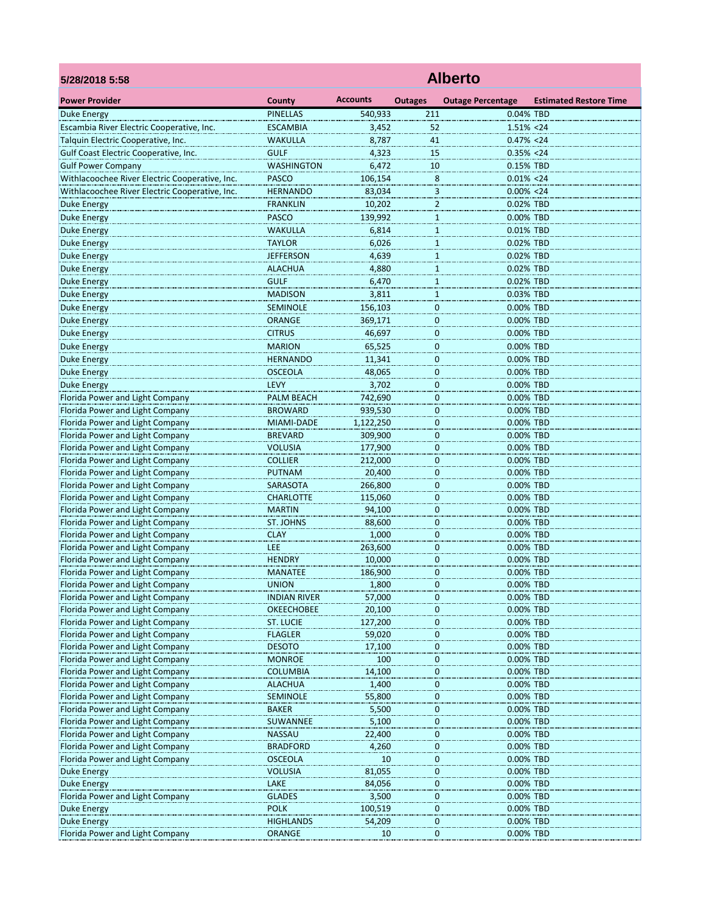| 5/28/2018 5:58                                 | <b>Alberto</b>      |                 |                  |                          |                               |  |  |  |
|------------------------------------------------|---------------------|-----------------|------------------|--------------------------|-------------------------------|--|--|--|
| <b>Power Provider</b>                          | County              | <b>Accounts</b> | <b>Outages</b>   | <b>Outage Percentage</b> | <b>Estimated Restore Time</b> |  |  |  |
| <b>Duke Energy</b>                             | <b>PINELLAS</b>     | 540,933         | 211              | 0.04% TBD                |                               |  |  |  |
| Escambia River Electric Cooperative, Inc.      | <b>ESCAMBIA</b>     | 3,452           | 52               | $1.51\% < 24$            |                               |  |  |  |
| Talquin Electric Cooperative, Inc.             | <b>WAKULLA</b>      | 8,787           | 41               | $0.47\% < 24$            |                               |  |  |  |
| Gulf Coast Electric Cooperative, Inc.          | <b>GULF</b>         | 4,323           | 15               | $0.35\% < 24$            |                               |  |  |  |
| <b>Gulf Power Company</b>                      | <b>WASHINGTON</b>   | 6,472           | 10               | 0.15% TBD                |                               |  |  |  |
| Withlacoochee River Electric Cooperative, Inc. | <b>PASCO</b>        | 106,154         | 8                | $0.01\% < 24$            |                               |  |  |  |
| Withlacoochee River Electric Cooperative, Inc. | <b>HERNANDO</b>     | 83,034          | 3                | $0.00\% < 24$            |                               |  |  |  |
| Duke Energy                                    | <b>FRANKLIN</b>     | 10,202          | 2                | 0.02% TBD                |                               |  |  |  |
| <b>Duke Energy</b>                             | <b>PASCO</b>        | 139,992         | $\mathbf{1}$     | 0.00% TBD                |                               |  |  |  |
| <b>Duke Energy</b>                             | WAKULLA             | 6,814           | $\mathbf{1}$     | 0.01% TBD                |                               |  |  |  |
| <b>Duke Energy</b>                             | <b>TAYLOR</b>       | 6,026           | $1\,$            | 0.02% TBD                |                               |  |  |  |
| <b>Duke Energy</b>                             | <b>JEFFERSON</b>    | 4,639           | $\mathbf{1}$     | 0.02% TBD                |                               |  |  |  |
| <b>Duke Energy</b>                             | <b>ALACHUA</b>      | 4,880           | $\mathbf{1}$     | 0.02% TBD                |                               |  |  |  |
| <b>Duke Energy</b>                             | <b>GULF</b>         | 6,470           |                  | 0.02% TBD                |                               |  |  |  |
| <b>Duke Energy</b>                             | <b>MADISON</b>      | 3,811           | $\overline{1}$   | 0.03% TBD                |                               |  |  |  |
|                                                |                     |                 | 1                |                          |                               |  |  |  |
| <b>Duke Energy</b>                             | SEMINOLE            | 156,103         | $\bf{0}$         | 0.00% TBD                |                               |  |  |  |
| Duke Energy                                    | <b>ORANGE</b>       | 369,171         | $\overline{0}$   | 0.00% TBD                |                               |  |  |  |
| <b>Duke Energy</b>                             | <b>CITRUS</b>       | 46,697          | 0                | 0.00% TBD                |                               |  |  |  |
| <b>Duke Energy</b>                             | <b>MARION</b>       | 65,525          | 0                | 0.00% TBD                |                               |  |  |  |
| <b>Duke Energy</b>                             | <b>HERNANDO</b>     | 11,341          | $\mathbf 0$      | 0.00% TBD                |                               |  |  |  |
| <b>Duke Energy</b>                             | <b>OSCEOLA</b>      | 48,065          | $\mathbf{0}$     | 0.00% TBD                |                               |  |  |  |
| <b>Duke Energy</b>                             | LEVY                | 3,702           | 0                | 0.00% TBD                |                               |  |  |  |
| Florida Power and Light Company                | PALM BEACH          | 742,690         | 0                | 0.00% TBD                |                               |  |  |  |
| Florida Power and Light Company                | <b>BROWARD</b>      | 939,530         | $\overline{0}$   | 0.00% TBD                |                               |  |  |  |
| Florida Power and Light Company                | MIAMI-DADE          | 1,122,250       | 0                | 0.00% TBD                |                               |  |  |  |
| Florida Power and Light Company                | <b>BREVARD</b>      | 309,900         | $\mathbf 0$      | 0.00% TBD                |                               |  |  |  |
| Florida Power and Light Company                | <b>VOLUSIA</b>      | 177,900         | 0                | 0.00% TBD                |                               |  |  |  |
| Florida Power and Light Company                | <b>COLLIER</b>      | 212,000         | 0                | 0.00% TBD                |                               |  |  |  |
| Florida Power and Light Company                | <b>PUTNAM</b>       | 20,400          | $\overline{0}$   | 0.00% TBD                |                               |  |  |  |
| Florida Power and Light Company                | SARASOTA            | 266,800         | 0                | 0.00% TBD                |                               |  |  |  |
| Florida Power and Light Company                | <b>CHARLOTTE</b>    | 115,060         | $\mathbf 0$      | 0.00% TBD                |                               |  |  |  |
| Florida Power and Light Company                | <b>MARTIN</b>       | 94,100          | 0                | 0.00% TBD                |                               |  |  |  |
| Florida Power and Light Company                | ST. JOHNS           | 88,600          | 0                | 0.00% TBD                |                               |  |  |  |
| Florida Power and Light Company                | <b>CLAY</b>         | 1,000           | $\overline{0}$   | 0.00% TBD                |                               |  |  |  |
| Florida Power and Light Company                | LEE                 | 263,600         | 0                | 0.00% TBD                |                               |  |  |  |
| Florida Power and Light Company                | <b>HENDRY</b>       | 10,000          | 0                | 0.00% TBD                |                               |  |  |  |
| Florida Power and Light Company                | <b>MANATEE</b>      | 186,900         | 0                | 0.00% TBD                |                               |  |  |  |
| Florida Power and Light Company                | <b>UNION</b>        | 1,800           | 0                | 0.00% TBD                |                               |  |  |  |
| Florida Power and Light Company                | <b>INDIAN RIVER</b> | 57,000          | $\overline{0}$   | 0.00% TBD                |                               |  |  |  |
| Florida Power and Light Company                | <b>OKEECHOBEE</b>   | 20,100          | $\overline{0}$   | 0.00% TBD                |                               |  |  |  |
| Florida Power and Light Company                | <b>ST. LUCIE</b>    | 127,200         | $\pmb{0}$        | 0.00% TBD                |                               |  |  |  |
| Florida Power and Light Company                | <b>FLAGLER</b>      | 59,020          | 0                | 0.00% TBD                |                               |  |  |  |
| Florida Power and Light Company                | <b>DESOTO</b>       | 17,100          | 0                | 0.00% TBD                |                               |  |  |  |
| Florida Power and Light Company                | <b>MONROE</b>       | 100             | 0                | 0.00% TBD                |                               |  |  |  |
| Florida Power and Light Company                | <b>COLUMBIA</b>     | 14,100          | $\overline{0}$   | 0.00% TBD                |                               |  |  |  |
| Florida Power and Light Company                | <b>ALACHUA</b>      | 1,400           | $\pmb{0}$        | 0.00% TBD                |                               |  |  |  |
| Florida Power and Light Company                | <b>SEMINOLE</b>     | 55,800          | 0                | 0.00% TBD                |                               |  |  |  |
| Florida Power and Light Company                | <b>BAKER</b>        | 5,500           | 0                | 0.00% TBD                |                               |  |  |  |
| Florida Power and Light Company                | SUWANNEE            | 5,100           | 0                | 0.00% TBD                |                               |  |  |  |
| Florida Power and Light Company                | <b>NASSAU</b>       | 22,400          | $\overline{0}$   | 0.00% TBD                |                               |  |  |  |
| Florida Power and Light Company                | <b>BRADFORD</b>     | 4,260           | $\bf{0}$         | 0.00% TBD                |                               |  |  |  |
| Florida Power and Light Company                | <b>OSCEOLA</b>      | 10              | $\bf{0}$         | 0.00% TBD                |                               |  |  |  |
| Duke Energy                                    | <b>VOLUSIA</b>      | 81,055          | $\boldsymbol{0}$ | 0.00% TBD                |                               |  |  |  |
| Duke Energy                                    | LAKE                | 84,056          | 0                | 0.00% TBD                |                               |  |  |  |
| Florida Power and Light Company                | <b>GLADES</b>       | 3,500           | $\overline{0}$   | 0.00% TBD                |                               |  |  |  |
| <b>Duke Energy</b>                             | <b>POLK</b>         | 100,519         | $\pmb{0}$        | 0.00% TBD                |                               |  |  |  |
| Duke Energy                                    | <b>HIGHLANDS</b>    | 54,209          | 0                | 0.00% TBD                |                               |  |  |  |
| Florida Power and Light Company                | ORANGE              | 10              | 0                | 0.00% TBD                |                               |  |  |  |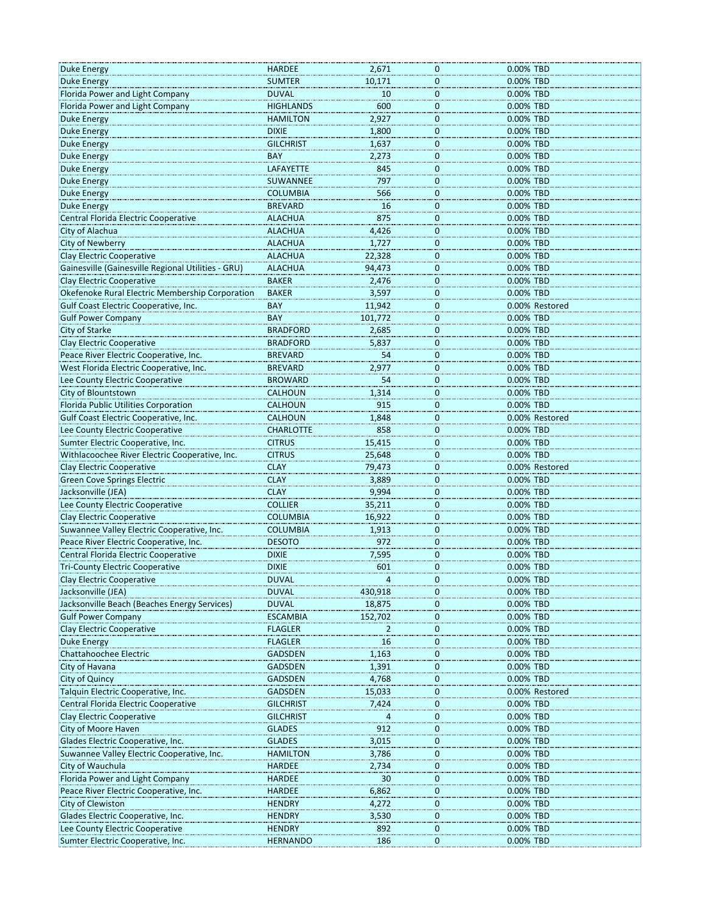| <b>Duke Energy</b>                                       | <b>HARDEE</b>    | 2,671   | $\mathbf 0$                   | 0.00% TBD              |
|----------------------------------------------------------|------------------|---------|-------------------------------|------------------------|
| <b>Duke Energy</b>                                       | <b>SUMTER</b>    | 10,171  | $\bf{0}$                      | 0.00% TBD              |
| Florida Power and Light Company                          | <b>DUVAL</b>     | 10      | $\mathbf 0$                   | 0.00% TBD              |
| Florida Power and Light Company                          | <b>HIGHLANDS</b> | 600     | $\mathbf 0$                   | 0.00% TBD              |
| <b>Duke Energy</b>                                       | <b>HAMILTON</b>  | 2,927   | $\mathbf 0$                   | 0.00% TBD              |
| <b>Duke Energy</b>                                       | <b>DIXIE</b>     | 1,800   | $\mathbf 0$                   | 0.00% TBD              |
| Duke Energy                                              | <b>GILCHRIST</b> | 1,637   | 0                             | 0.00% TBD              |
| <b>Duke Energy</b>                                       | <b>BAY</b>       | 2,273   | $\mathbf 0$                   | 0.00% TBD              |
| <b>Duke Energy</b>                                       | <b>LAFAYETTE</b> | 845     | $\mathbf 0$                   | 0.00% TBD              |
| <b>Duke Energy</b>                                       | SUWANNEE         | 797     | $\bf{0}$                      | 0.00% TBD              |
| <b>Duke Energy</b>                                       | <b>COLUMBIA</b>  | 566     | $\bf{0}$                      | 0.00% TBD              |
| <b>Duke Energy</b>                                       | <b>BREVARD</b>   | 16      | 0                             | 0.00% TBD              |
| Central Florida Electric Cooperative                     | <b>ALACHUA</b>   | 875     |                               | 0.00% TBD              |
| City of Alachua                                          | <b>ALACHUA</b>   | 4,426   | $\overline{0}$<br>$\mathbf 0$ | 0.00% TBD              |
| City of Newberry                                         | <b>ALACHUA</b>   | 1,727   | $\mathbf 0$                   | 0.00% TBD              |
|                                                          |                  |         |                               |                        |
| <b>Clay Electric Cooperative</b>                         | <b>ALACHUA</b>   | 22,328  | $\mathbf 0$                   | 0.00% TBD              |
| Gainesville (Gainesville Regional Utilities - GRU)       | ALACHUA          | 94,473  | 0                             | 0.00% TBD              |
| <b>Clay Electric Cooperative</b>                         | <b>BAKER</b>     | 2,476   | $\overline{0}$                | 0.00% TBD              |
| Okefenoke Rural Electric Membership Corporation          | <b>BAKER</b>     | 3,597   | $\mathbf 0$                   | 0.00% TBD              |
| Gulf Coast Electric Cooperative, Inc.                    | BAY              | 11.942  | $\bf{0}$                      | 0.00% Restored         |
| <b>Gulf Power Company</b>                                | <b>BAY</b>       | 101,772 | $\overline{0}$                | 0.00% TBD              |
| City of Starke                                           | <b>BRADFORD</b>  | 2,685   | 0                             | 0.00% TBD              |
| <b>Clay Electric Cooperative</b>                         | <b>BRADFORD</b>  | 5,837   | $\overline{0}$                | 0.00% TBD              |
| Peace River Electric Cooperative, Inc.                   | <b>BREVARD</b>   | 54      | $\mathbf 0$                   | 0.00% TBD              |
| West Florida Electric Cooperative, Inc.                  | <b>BREVARD</b>   | 2,977   | $\mathbf 0$                   | 0.00% TBD              |
| Lee County Electric Cooperative                          | <b>BROWARD</b>   | 54      | $\mathbf 0$                   | 0.00% TBD              |
| City of Blountstown                                      | <b>CALHOUN</b>   | 1,314   | 0                             | 0.00% TBD              |
| Florida Public Utilities Corporation                     | CALHOUN          | 915     | $\bf{0}$                      | 0.00% TBD              |
| Gulf Coast Electric Cooperative, Inc.                    | <b>CALHOUN</b>   | 1,848   | $\mathbf 0$                   | 0.00% Restored         |
| Lee County Electric Cooperative                          | <b>CHARLOTTE</b> | 858     | $\mathbf 0$                   | 0.00% TBD              |
| Sumter Electric Cooperative, Inc.                        | <b>CITRUS</b>    | 15,415  | $\mathbf 0$                   | 0.00% TBD              |
| Withlacoochee River Electric Cooperative, Inc.           | <b>CITRUS</b>    | 25,648  | $\bf{0}$                      | 0.00% TBD              |
| <b>Clay Electric Cooperative</b>                         | <b>CLAY</b>      | 79,473  | $\mathbf 0$                   | 0.00% Restored         |
|                                                          | <b>CLAY</b>      | 3,889   | $\mathbf 0$                   |                        |
| <b>Green Cove Springs Electric</b><br>Jacksonville (JEA) | <b>CLAY</b>      | 9,994   |                               | 0.00% TBD<br>0.00% TBD |
|                                                          |                  |         | $\mathbf 0$                   |                        |
| Lee County Electric Cooperative                          | <b>COLLIER</b>   | 35,211  | $\mathbf 0$                   | 0.00% TBD              |
| <b>Clay Electric Cooperative</b>                         | <b>COLUMBIA</b>  | 16,922  | $\mathbf 0$                   | 0.00% TBD              |
| Suwannee Valley Electric Cooperative, Inc.               | <b>COLUMBIA</b>  | 1,913   | $\overline{0}$                | 0.00% TBD              |
| Peace River Electric Cooperative, Inc.                   | <b>DESOTO</b>    | 972     | $\mathbf 0$                   | 0.00% TBD              |
| Central Florida Electric Cooperative                     | <b>DIXIE</b>     | 7,595   | $\mathbf 0$                   | 0.00% TBD              |
| <b>Tri-County Electric Cooperative</b>                   | <b>DIXIE</b>     | 601     | $\mathbf 0$                   | 0.00% TBD              |
| Clay Electric Cooperative                                | DUVAL            |         | 0                             | 0.00% TBD              |
| Jacksonville (JEA)                                       | <b>DUVAL</b>     | 430,918 | 0                             | 0.00% TBD              |
| Jacksonville Beach (Beaches Energy Services              | <b>DUVAL</b>     | 18,875  | $\bf{0}$                      | 0.00% TBD              |
| <b>Gulf Power Company</b>                                | <b>ESCAMBIA</b>  | 152,702 | $\overline{0}$                | 0.00% TBD              |
| <b>Clay Electric Cooperative</b>                         | <b>FLAGLER</b>   | 2       | $\bf{0}$                      | 0.00% TBD              |
| <b>Duke Energy</b>                                       | <b>FLAGLER</b>   | 16      | 0                             | 0.00% TBD              |
| Chattahoochee Electric                                   | <b>GADSDEN</b>   | 1,163   | 0                             | 0.00% TBD              |
| City of Havana                                           | <b>GADSDEN</b>   | 1,391   | $\mathbf 0$                   | 0.00% TBD              |
| City of Quincy                                           | <b>GADSDEN</b>   | 4,768   | $\mathbf 0$                   | 0.00% TBD              |
| Talquin Electric Cooperative, Inc.                       | <b>GADSDEN</b>   | 15,033  | $\mathbf 0$                   | 0.00% Restored         |
| Central Florida Electric Cooperative                     | <b>GILCHRIST</b> | 7,424   | 0                             | 0.00% TBD              |
| Clay Electric Cooperative                                | <b>GILCHRIST</b> |         | 0                             | 0.00% TBD              |
| City of Moore Haven                                      | <b>GLADES</b>    | 912     | $\mathbf 0$                   | 0.00% TBD              |
| Glades Electric Cooperative, Inc.                        | <b>GLADES</b>    | 3,015   | $\overline{0}$                | 0.00% TBD              |
| Suwannee Valley Electric Cooperative, Inc.               | <b>HAMILTON</b>  | 3,786   |                               | 0.00% TBD              |
| City of Wauchula                                         | <b>HARDEE</b>    |         | $\bf{0}$<br>0                 | 0.00% TBD              |
|                                                          |                  | 2,734   |                               |                        |
| Florida Power and Light Company                          | <b>HARDEE</b>    | 30      | 0                             | 0.00% TBD              |
| Peace River Electric Cooperative, Inc.                   | <b>HARDEE</b>    | 6,862   | $\overline{0}$                | 0.00% TBD              |
| City of Clewiston                                        | <b>HENDRY</b>    | 4,272   | $\overline{0}$                | 0.00% TBD              |
| Glades Electric Cooperative, Inc.                        | <b>HENDRY</b>    | 3,530   | $\bf{0}$                      | 0.00% TBD              |
| Lee County Electric Cooperative                          | <b>HENDRY</b>    | 892     | 0                             | 0.00% TBD              |
| Sumter Electric Cooperative, Inc.                        | <b>HERNANDO</b>  | 186     | 0                             | 0.00% TBD              |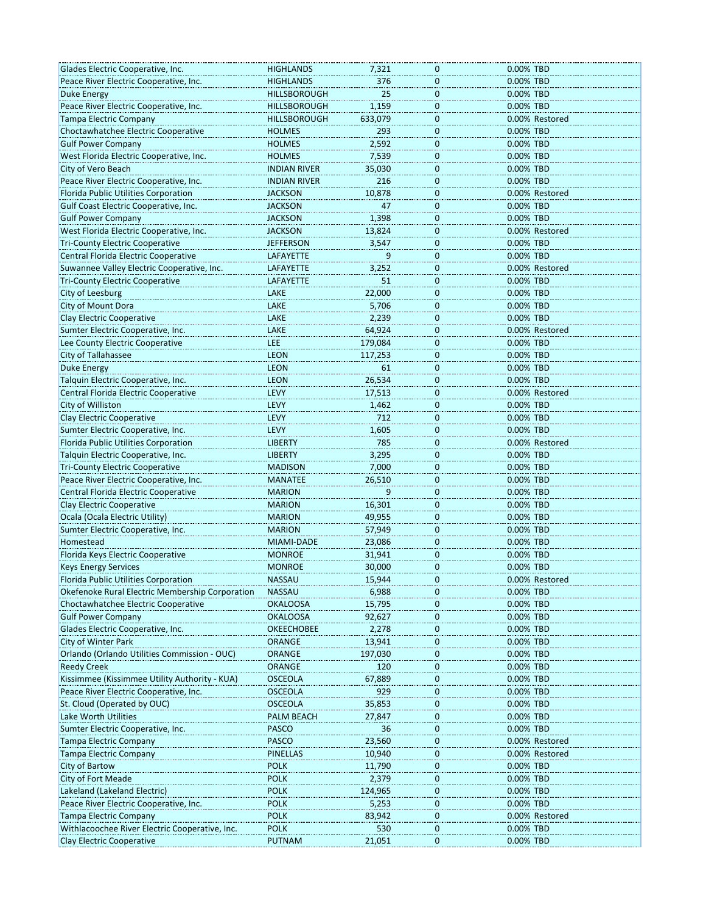| Glades Electric Cooperative, Inc.               | <b>HIGHLANDS</b>    | 7,321   | 0            | 0.00% TBD      |
|-------------------------------------------------|---------------------|---------|--------------|----------------|
| Peace River Electric Cooperative, Inc.          | <b>HIGHLANDS</b>    | 376     | 0            | 0.00% TBD      |
| <b>Duke Energy</b>                              | <b>HILLSBOROUGH</b> | 25      | $\mathbf 0$  | 0.00% TBD      |
| Peace River Electric Cooperative, Inc.          | <b>HILLSBOROUGH</b> | 1,159   | $\mathbf 0$  | 0.00% TBD      |
| <b>Tampa Electric Company</b>                   | <b>HILLSBOROUGH</b> | 633,079 | $\mathbf 0$  | 0.00% Restored |
| Choctawhatchee Electric Cooperative             | <b>HOLMES</b>       | 293     | 0            | 0.00% TBD      |
| <b>Gulf Power Company</b>                       | <b>HOLMES</b>       | 2,592   | 0            | 0.00% TBD      |
| West Florida Electric Cooperative, Inc.         | <b>HOLMES</b>       | 7,539   | $\mathbf 0$  | 0.00% TBD      |
| City of Vero Beach                              | <b>INDIAN RIVER</b> | 35,030  | 0            | 0.00% TBD      |
| Peace River Electric Cooperative, Inc.          | <b>INDIAN RIVER</b> | 216     | $\mathbf{0}$ | 0.00% TBD      |
| Florida Public Utilities Corporation            | <b>JACKSON</b>      | 10,878  | 0            | 0.00% Restored |
| Gulf Coast Electric Cooperative, Inc.           | <b>JACKSON</b>      | 47      | 0            | 0.00% TBD      |
| <b>Gulf Power Company</b>                       | <b>JACKSON</b>      | 1,398   | 0            | 0.00% TBD      |
| West Florida Electric Cooperative, Inc.         | <b>JACKSON</b>      | 13,824  | $\mathbf 0$  | 0.00% Restored |
| <b>Tri-County Electric Cooperative</b>          | <b>JEFFERSON</b>    | 3,547   | $\mathbf 0$  | 0.00% TBD      |
| Central Florida Electric Cooperative            | LAFAYETTE           | 9       | 0            | 0.00% TBD      |
| Suwannee Valley Electric Cooperative, Inc.      | LAFAYETTE           | 3,252   | 0            | 0.00% Restored |
| <b>Tri-County Electric Cooperative</b>          | LAFAYETTE           | 51      | 0            | 0.00% TBD      |
| City of Leesburg                                | LAKE                | 22,000  | 0            | 0.00% TBD      |
| City of Mount Dora                              | LAKE                | 5,706   | $\mathbf 0$  | 0.00% TBD      |
| Clay Electric Cooperative                       | LAKE                | 2,239   | 0            | 0.00% TBD      |
| Sumter Electric Cooperative, Inc.               | LAKE                | 64,924  | 0            | 0.00% Restored |
| Lee County Electric Cooperative                 | LEE                 | 179,084 | 0            | 0.00% TBD      |
| <b>City of Tallahassee</b>                      | <b>LEON</b>         | 117,253 | 0            | 0.00% TBD      |
| <b>Duke Energy</b>                              | <b>LEON</b>         | 61      | $\mathbf 0$  | 0.00% TBD      |
| Talquin Electric Cooperative, Inc.              | <b>LEON</b>         |         |              | 0.00% TBD      |
| Central Florida Electric Cooperative            | LEVY                | 26,534  | 0            |                |
|                                                 |                     | 17,513  | 0            | 0.00% Restored |
| City of Williston                               | LEVY                | 1,462   | 0            | 0.00% TBD      |
| <b>Clay Electric Cooperative</b>                | LEVY                | 712     | $\mathbf 0$  | 0.00% TBD      |
| Sumter Electric Cooperative, Inc.               | <b>LEVY</b>         | 1,605   | $\mathbf 0$  | 0.00% TBD      |
| Florida Public Utilities Corporation            | <b>LIBERTY</b>      | 785     | 0            | 0.00% Restored |
| Talquin Electric Cooperative, Inc.              | <b>LIBERTY</b>      | 3,295   | 0            | 0.00% TBD      |
| <b>Tri-County Electric Cooperative</b>          | <b>MADISON</b>      | 7,000   | 0            | 0.00% TBD      |
| Peace River Electric Cooperative, Inc.          | <b>MANATEE</b>      | 26,510  | $\mathbf 0$  | 0.00% TBD      |
| Central Florida Electric Cooperative            | <b>MARION</b>       | 9       | $\mathbf 0$  | 0.00% TBD      |
| Clay Electric Cooperative                       | <b>MARION</b>       | 16,301  | 0            | 0.00% TBD      |
| Ocala (Ocala Electric Utility)                  | <b>MARION</b>       | 49,955  | 0            | 0.00% TBD      |
| Sumter Electric Cooperative, Inc.               | <b>MARION</b>       | 57,949  | 0            | 0.00% TBD      |
| Homestead                                       | MIAMI-DADE          | 23,086  | $\mathbf 0$  | 0.00% TBD      |
| Florida Keys Electric Cooperative               | <b>MONROE</b>       | 31,941  | $\mathbf 0$  | 0.00% TBD      |
| <b>Keys Energy Services</b>                     | <b>MONROE</b>       | 30,000  | 0            | 0.00% TBD      |
| Florida Public Utilities Corporation            | <b>NASSAU</b>       | 15,944  | U            | 0.00% Restored |
| Okefenoke Rural Electric Membership Corporation | <b>NASSAU</b>       | 6,988   | 0            | 0.00% TBD      |
| Choctawhatchee Electric Cooperative             | <b>OKALOOSA</b>     | 15,795  | $\mathbf 0$  | 0.00% TBD      |
| <b>Gulf Power Company</b>                       | <b>OKALOOSA</b>     | 92,627  | 0            | 0.00% TBD      |
| Glades Electric Cooperative, Inc.               | <b>OKEECHOBEE</b>   | 2,278   | 0            | 0.00% TBD      |
| City of Winter Park                             | ORANGE              | 13,941  | 0            | 0.00% TBD      |
| Orlando (Orlando Utilities Commission - OUC)    | ORANGE              | 197,030 | 0            | 0.00% TBD      |
| <b>Reedy Creek</b>                              | ORANGE              | 120     | $\mathbf{0}$ | 0.00% TBD      |
| Kissimmee (Kissimmee Utility Authority - KUA)   | <b>OSCEOLA</b>      | 67,889  | 0            | 0.00% TBD      |
| Peace River Electric Cooperative, Inc.          | <b>OSCEOLA</b>      | 929     | 0            | 0.00% TBD      |
| St. Cloud (Operated by OUC)                     | <b>OSCEOLA</b>      | 35,853  | 0            | 0.00% TBD      |
| Lake Worth Utilities                            | PALM BEACH          | 27,847  | 0            | 0.00% TBD      |
| Sumter Electric Cooperative, Inc.               | <b>PASCO</b>        | 36      | $\mathbf 0$  | 0.00% TBD      |
| <b>Tampa Electric Company</b>                   | <b>PASCO</b>        | 23,560  | 0            | 0.00% Restored |
| <b>Tampa Electric Company</b>                   | <b>PINELLAS</b>     | 10,940  | 0            | 0.00% Restored |
| <b>City of Bartow</b>                           | <b>POLK</b>         | 11,790  | 0            | 0.00% TBD      |
| City of Fort Meade                              | <b>POLK</b>         | 2,379   | 0            | 0.00% TBD      |
| Lakeland (Lakeland Electric)                    | <b>POLK</b>         | 124,965 | $\mathbf 0$  | 0.00% TBD      |
| Peace River Electric Cooperative, Inc.          | <b>POLK</b>         | 5,253   | 0            | 0.00% TBD      |
| <b>Tampa Electric Company</b>                   | <b>POLK</b>         | 83,942  | 0            | 0.00% Restored |
| Withlacoochee River Electric Cooperative, Inc.  | <b>POLK</b>         | 530     | 0            | 0.00% TBD      |
| Clay Electric Cooperative                       | PUTNAM              | 21,051  | 0            | 0.00% TBD      |
|                                                 |                     |         |              |                |